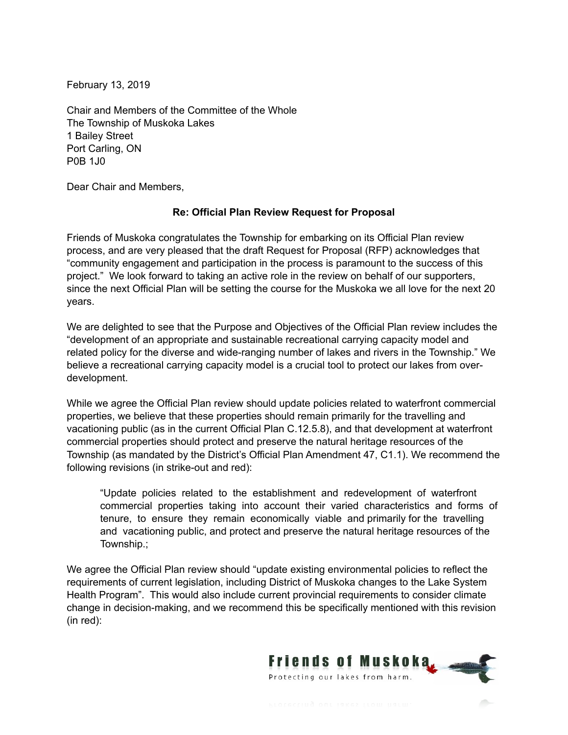February 13, 2019

Chair and Members of the Committee of the Whole The Township of Muskoka Lakes 1 Bailey Street Port Carling, ON P0B 1J0

Dear Chair and Members,

## **Re: Official Plan Review Request for Proposal**

Friends of Muskoka congratulates the Township for embarking on its Official Plan review process, and are very pleased that the draft Request for Proposal (RFP) acknowledges that "community engagement and participation in the process is paramount to the success of this project." We look forward to taking an active role in the review on behalf of our supporters, since the next Official Plan will be setting the course for the Muskoka we all love for the next 20 years.

We are delighted to see that the Purpose and Objectives of the Official Plan review includes the "development of an appropriate and sustainable recreational carrying capacity model and related policy for the diverse and wide-ranging number of lakes and rivers in the Township." We believe a recreational carrying capacity model is a crucial tool to protect our lakes from overdevelopment.

While we agree the Official Plan review should update policies related to waterfront commercial properties, we believe that these properties should remain primarily for the travelling and vacationing public (as in the current Official Plan C.12.5.8), and that development at waterfront commercial properties should protect and preserve the natural heritage resources of the Township (as mandated by the District's Official Plan Amendment 47, C1.1). We recommend the following revisions (in strike-out and red):

"Update policies related to the establishment and redevelopment of waterfront commercial properties taking into account their varied characteristics and forms of tenure, to ensure they remain economically viable and primarily for the travelling and vacationing public, and protect and preserve the natural heritage resources of the Township.;

We agree the Official Plan review should "update existing environmental policies to reflect the requirements of current legislation, including District of Muskoka changes to the Lake System Health Program". This would also include current provincial requirements to consider climate change in decision-making, and we recommend this be specifically mentioned with this revision (in red):